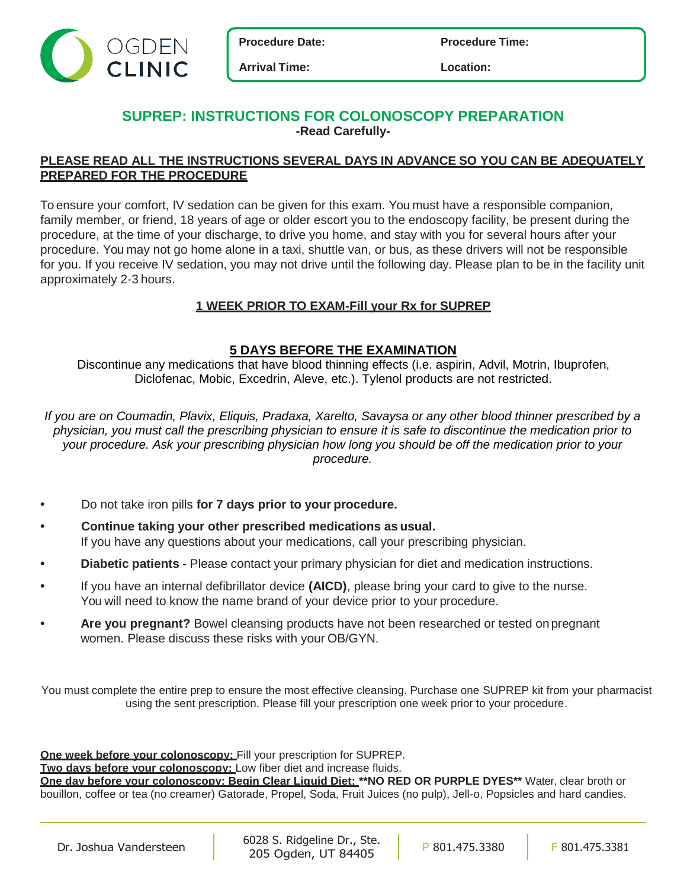



**Arrival Time: Location:**

# **SUPREP: INSTRUCTIONS FOR COLONOSCOPY PREPARATION -Read Carefully-**

## **PLEASE READ ALL THE INSTRUCTIONS SEVERAL DAYS IN ADVANCE SO YOU CAN BE ADEQUATELY PREPARED FOR THE PROCEDURE**

To ensure your comfort, IV sedation can be given for this exam. You must have a responsible companion, family member, or friend, 18 years of age or older escort you to the endoscopy facility, be present during the procedure, at the time of your discharge, to drive you home, and stay with you for several hours after your procedure. You may not go home alone in a taxi, shuttle van, or bus, as these drivers will not be responsible for you. If you receive IV sedation, you may not drive until the following day. Please plan to be in the facility unit approximately 2-3 hours.

## **1 WEEK PRIOR TO EXAM-Fill your Rx for SUPREP**

## **5 DAYS BEFORE THE EXAMINATION**

Discontinue any medications that have blood thinning effects (i.e. aspirin, Advil, Motrin, Ibuprofen, Diclofenac, Mobic, Excedrin, Aleve, etc.). Tylenol products are not restricted.

*If you are on Coumadin, Plavix, Eliquis, Pradaxa, Xarelto, Savaysa or any other blood thinner prescribed by a physician, you must call the prescribing physician to ensure it is safe to discontinue the medication prior to your procedure. Ask your prescribing physician how long you should be off the medication prior to your procedure.*

- **•** Do not take iron pills **for 7 days prior to your procedure.**
- **• Continue taking your other prescribed medications as usual.** If you have any questions about your medications, call your prescribing physician.
- **• Diabetic patients** Please contact your primary physician for diet and medication instructions.
- **•** If you have an internal defibrillator device **(AICD)**, please bring your card to give to the nurse. You will need to know the name brand of your device prior to your procedure.
- **• Are you pregnant?** Bowel cleansing products have not been researched or tested on pregnant women. Please discuss these risks with your OB/GYN.

You must complete the entire prep to ensure the most effective cleansing. Purchase one SUPREP kit from your pharmacist using the sent prescription. Please fill your prescription one week prior to your procedure.

**One week before your colonoscopy:** Fill your prescription for SUPREP.

**Two days before your colonoscopy:** Low fiber diet and increase fluids.

**One day before your colonoscopy: Begin Clear Liquid Diet: \*\*NO RED OR PURPLE DYES\*\*** Water, clear broth or bouillon, coffee or tea (no creamer) Gatorade, Propel, Soda, Fruit Juices (no pulp), Jell-o, Popsicles and hard candies.